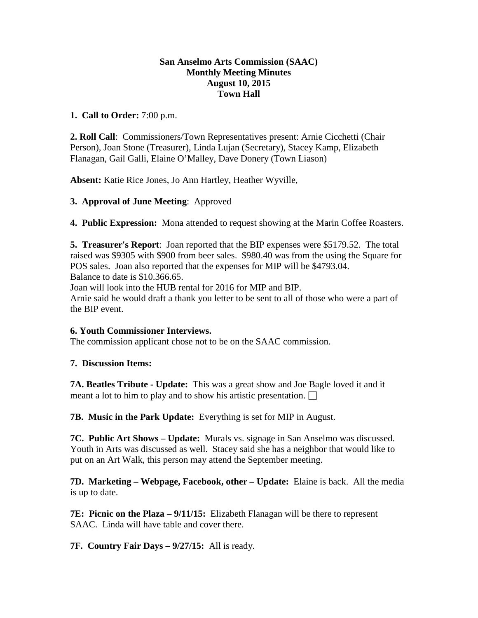# **San Anselmo Arts Commission (SAAC) Monthly Meeting Minutes August 10, 2015 Town Hall**

# **1. Call to Order:** 7:00 p.m.

**2. Roll Call**: Commissioners/Town Representatives present: Arnie Cicchetti (Chair Person), Joan Stone (Treasurer), Linda Lujan (Secretary), Stacey Kamp, Elizabeth Flanagan, Gail Galli, Elaine O'Malley, Dave Donery (Town Liason)

**Absent:** Katie Rice Jones, Jo Ann Hartley, Heather Wyville,

### **3. Approval of June Meeting**: Approved

**4. Public Expression:** Mona attended to request showing at the Marin Coffee Roasters.

**5. Treasurer's Report**: Joan reported that the BIP expenses were \$5179.52. The total raised was \$9305 with \$900 from beer sales. \$980.40 was from the using the Square for POS sales. Joan also reported that the expenses for MIP will be \$4793.04. Balance to date is \$10.366.65.

Joan will look into the HUB rental for 2016 for MIP and BIP.

Arnie said he would draft a thank you letter to be sent to all of those who were a part of the BIP event.

# **6. Youth Commissioner Interviews.**

The commission applicant chose not to be on the SAAC commission.

#### **7. Discussion Items:**

**7A. Beatles Tribute - Update:** This was a great show and Joe Bagle loved it and it meant a lot to him to play and to show his artistic presentation.  $\Box$ 

**7B. Music in the Park Update:** Everything is set for MIP in August.

**7C. Public Art Shows – Update:** Murals vs. signage in San Anselmo was discussed. Youth in Arts was discussed as well. Stacey said she has a neighbor that would like to put on an Art Walk, this person may attend the September meeting.

**7D. Marketing – Webpage, Facebook, other – Update:** Elaine is back. All the media is up to date.

**7E: Picnic on the Plaza – 9/11/15:** Elizabeth Flanagan will be there to represent SAAC. Linda will have table and cover there.

**7F. Country Fair Days – 9/27/15:** All is ready.